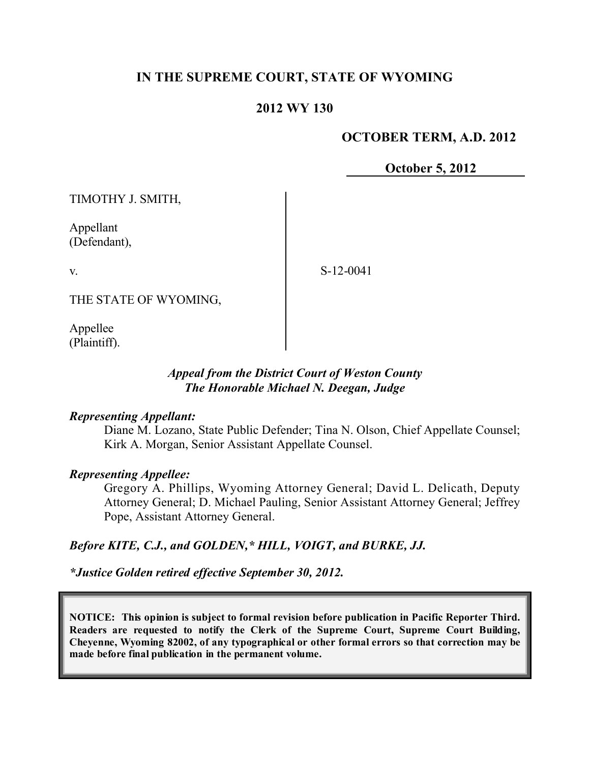# **IN THE SUPREME COURT, STATE OF WYOMING**

## **2012 WY 130**

## **OCTOBER TERM, A.D. 2012**

**October 5, 2012**

TIMOTHY J. SMITH,

Appellant (Defendant),

v.

S-12-0041

THE STATE OF WYOMING,

Appellee (Plaintiff).

## *Appeal from the District Court of Weston County The Honorable Michael N. Deegan, Judge*

#### *Representing Appellant:*

Diane M. Lozano, State Public Defender; Tina N. Olson, Chief Appellate Counsel; Kirk A. Morgan, Senior Assistant Appellate Counsel.

## *Representing Appellee:*

Gregory A. Phillips, Wyoming Attorney General; David L. Delicath, Deputy Attorney General; D. Michael Pauling, Senior Assistant Attorney General; Jeffrey Pope, Assistant Attorney General.

#### *Before KITE, C.J., and GOLDEN,\* HILL, VOIGT, and BURKE, JJ.*

*\*Justice Golden retired effective September 30, 2012.*

**NOTICE: This opinion is subject to formal revision before publication in Pacific Reporter Third. Readers are requested to notify the Clerk of the Supreme Court, Supreme Court Building, Cheyenne, Wyoming 82002, of any typographical or other formal errors so that correction may be made before final publication in the permanent volume.**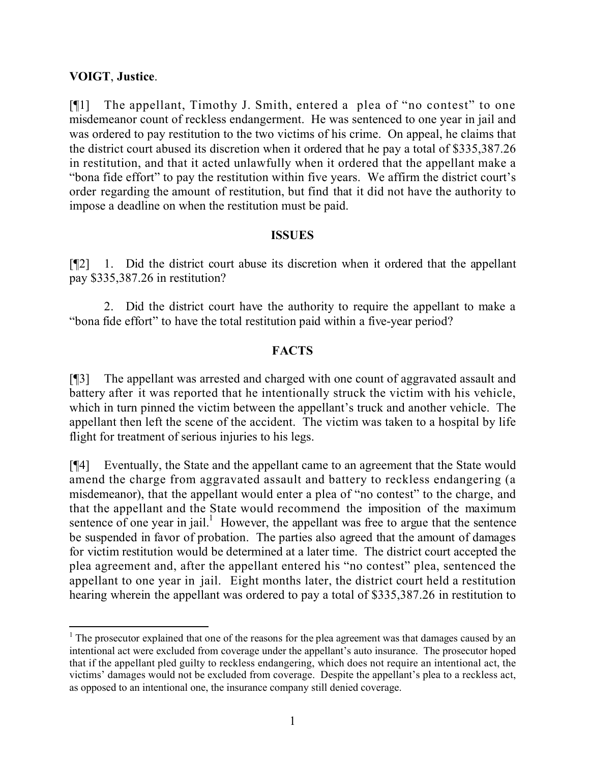## **VOIGT**, **Justice**.

l

[¶1] The appellant, Timothy J. Smith, entered a plea of "no contest" to one misdemeanor count of reckless endangerment. He was sentenced to one year in jail and was ordered to pay restitution to the two victims of his crime. On appeal, he claims that the district court abused its discretion when it ordered that he pay a total of \$335,387.26 in restitution, and that it acted unlawfully when it ordered that the appellant make a "bona fide effort" to pay the restitution within five years. We affirm the district court's order regarding the amount of restitution, but find that it did not have the authority to impose a deadline on when the restitution must be paid.

#### **ISSUES**

[¶2] 1. Did the district court abuse its discretion when it ordered that the appellant pay \$335,387.26 in restitution?

2. Did the district court have the authority to require the appellant to make a "bona fide effort" to have the total restitution paid within a five-year period?

## **FACTS**

[¶3] The appellant was arrested and charged with one count of aggravated assault and battery after it was reported that he intentionally struck the victim with his vehicle, which in turn pinned the victim between the appellant's truck and another vehicle. The appellant then left the scene of the accident. The victim was taken to a hospital by life flight for treatment of serious injuries to his legs.

[¶4] Eventually, the State and the appellant came to an agreement that the State would amend the charge from aggravated assault and battery to reckless endangering (a misdemeanor), that the appellant would enter a plea of "no contest" to the charge, and that the appellant and the State would recommend the imposition of the maximum sentence of one year in jail.<sup>1</sup> However, the appellant was free to argue that the sentence be suspended in favor of probation. The parties also agreed that the amount of damages for victim restitution would be determined at a later time. The district court accepted the plea agreement and, after the appellant entered his "no contest" plea, sentenced the appellant to one year in jail. Eight months later, the district court held a restitution hearing wherein the appellant was ordered to pay a total of \$335,387.26 in restitution to

 $1$  The prosecutor explained that one of the reasons for the plea agreement was that damages caused by an intentional act were excluded from coverage under the appellant's auto insurance. The prosecutor hoped that if the appellant pled guilty to reckless endangering, which does not require an intentional act, the victims' damages would not be excluded from coverage. Despite the appellant's plea to a reckless act, as opposed to an intentional one, the insurance company still denied coverage.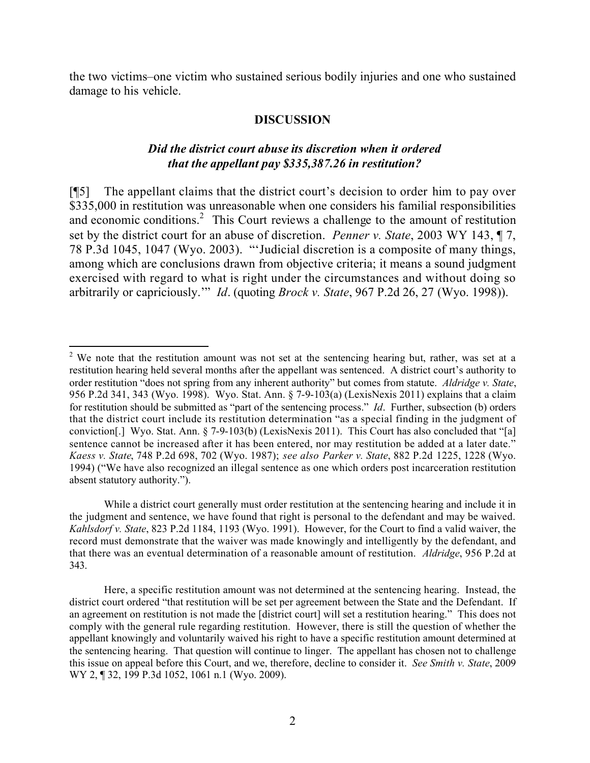the two victims–one victim who sustained serious bodily injuries and one who sustained damage to his vehicle.

#### **DISCUSSION**

## *Did the district court abuse its discretion when it ordered that the appellant pay \$335,387.26 in restitution?*

[¶5] The appellant claims that the district court's decision to order him to pay over \$335,000 in restitution was unreasonable when one considers his familial responsibilities and economic conditions.<sup>2</sup> This Court reviews a challenge to the amount of restitution set by the district court for an abuse of discretion. *Penner v. State*, 2003 WY 143, ¶ 7, 78 P.3d 1045, 1047 (Wyo. 2003). "'Judicial discretion is a composite of many things, among which are conclusions drawn from objective criteria; it means a sound judgment exercised with regard to what is right under the circumstances and without doing so arbitrarily or capriciously.'" *Id*. (quoting *Brock v. State*, 967 P.2d 26, 27 (Wyo. 1998)).

 $\overline{a}$  $2$  We note that the restitution amount was not set at the sentencing hearing but, rather, was set at a restitution hearing held several months after the appellant was sentenced. A district court's authority to order restitution "does not spring from any inherent authority" but comes from statute. *Aldridge v. State*, 956 P.2d 341, 343 (Wyo. 1998). Wyo. Stat. Ann. § 7-9-103(a) (LexisNexis 2011) explains that a claim for restitution should be submitted as "part of the sentencing process." *Id*. Further, subsection (b) orders that the district court include its restitution determination "as a special finding in the judgment of conviction[.] Wyo. Stat. Ann. § 7-9-103(b) (LexisNexis 2011). This Court has also concluded that "[a] sentence cannot be increased after it has been entered, nor may restitution be added at a later date." *Kaess v. State*, 748 P.2d 698, 702 (Wyo. 1987); *see also Parker v. State*, 882 P.2d 1225, 1228 (Wyo. 1994) ("We have also recognized an illegal sentence as one which orders post incarceration restitution absent statutory authority.").

While a district court generally must order restitution at the sentencing hearing and include it in the judgment and sentence, we have found that right is personal to the defendant and may be waived. *Kahlsdorf v. State*, 823 P.2d 1184, 1193 (Wyo. 1991). However, for the Court to find a valid waiver, the record must demonstrate that the waiver was made knowingly and intelligently by the defendant, and that there was an eventual determination of a reasonable amount of restitution. *Aldridge*, 956 P.2d at 343.

Here, a specific restitution amount was not determined at the sentencing hearing. Instead, the district court ordered "that restitution will be set per agreement between the State and the Defendant. If an agreement on restitution is not made the [district court] will set a restitution hearing." This does not comply with the general rule regarding restitution. However, there is still the question of whether the appellant knowingly and voluntarily waived his right to have a specific restitution amount determined at the sentencing hearing. That question will continue to linger. The appellant has chosen not to challenge this issue on appeal before this Court, and we, therefore, decline to consider it. *See Smith v. State*, 2009 WY 2, 132, 199 P.3d 1052, 1061 n.1 (Wyo. 2009).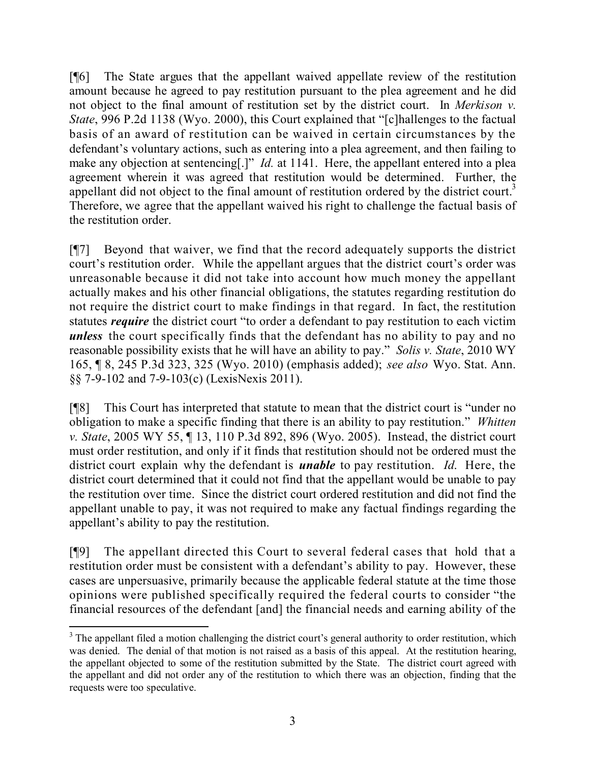[¶6] The State argues that the appellant waived appellate review of the restitution amount because he agreed to pay restitution pursuant to the plea agreement and he did not object to the final amount of restitution set by the district court. In *Merkison v. State*, 996 P.2d 1138 (Wyo. 2000), this Court explained that "[c]hallenges to the factual basis of an award of restitution can be waived in certain circumstances by the defendant's voluntary actions, such as entering into a plea agreement, and then failing to make any objection at sentencing[.]" *Id.* at 1141. Here, the appellant entered into a plea agreement wherein it was agreed that restitution would be determined. Further, the appellant did not object to the final amount of restitution ordered by the district court.<sup>3</sup> Therefore, we agree that the appellant waived his right to challenge the factual basis of the restitution order.

[¶7] Beyond that waiver, we find that the record adequately supports the district court's restitution order. While the appellant argues that the district court's order was unreasonable because it did not take into account how much money the appellant actually makes and his other financial obligations, the statutes regarding restitution do not require the district court to make findings in that regard. In fact, the restitution statutes *require* the district court "to order a defendant to pay restitution to each victim *unless* the court specifically finds that the defendant has no ability to pay and no reasonable possibility exists that he will have an ability to pay." *Solis v. State*, 2010 WY 165, ¶ 8, 245 P.3d 323, 325 (Wyo. 2010) (emphasis added); *see also* Wyo. Stat. Ann. §§ 7-9-102 and 7-9-103(c) (LexisNexis 2011).

[¶8] This Court has interpreted that statute to mean that the district court is "under no obligation to make a specific finding that there is an ability to pay restitution." *Whitten v. State*, 2005 WY 55, ¶ 13, 110 P.3d 892, 896 (Wyo. 2005). Instead, the district court must order restitution, and only if it finds that restitution should not be ordered must the district court explain why the defendant is *unable* to pay restitution. *Id*. Here, the district court determined that it could not find that the appellant would be unable to pay the restitution over time. Since the district court ordered restitution and did not find the appellant unable to pay, it was not required to make any factual findings regarding the appellant's ability to pay the restitution.

[¶9] The appellant directed this Court to several federal cases that hold that a restitution order must be consistent with a defendant's ability to pay. However, these cases are unpersuasive, primarily because the applicable federal statute at the time those opinions were published specifically required the federal courts to consider "the financial resources of the defendant [and] the financial needs and earning ability of the

l

<sup>&</sup>lt;sup>3</sup> The appellant filed a motion challenging the district court's general authority to order restitution, which was denied. The denial of that motion is not raised as a basis of this appeal. At the restitution hearing, the appellant objected to some of the restitution submitted by the State. The district court agreed with the appellant and did not order any of the restitution to which there was an objection, finding that the requests were too speculative.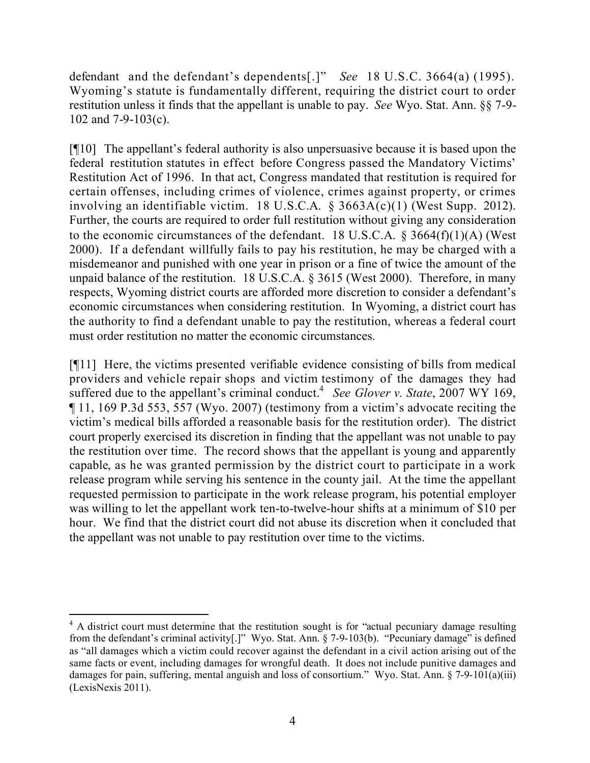defendant and the defendant's dependents[.]" *See* 18 U.S.C. 3664(a) (1995). Wyoming's statute is fundamentally different, requiring the district court to order restitution unless it finds that the appellant is unable to pay. *See* Wyo. Stat. Ann. §§ 7-9- 102 and 7-9-103(c).

[¶10] The appellant's federal authority is also unpersuasive because it is based upon the federal restitution statutes in effect before Congress passed the Mandatory Victims' Restitution Act of 1996. In that act, Congress mandated that restitution is required for certain offenses, including crimes of violence, crimes against property, or crimes involving an identifiable victim. 18 U.S.C.A. § 3663A(c)(1) (West Supp. 2012). Further, the courts are required to order full restitution without giving any consideration to the economic circumstances of the defendant. 18 U.S.C.A.  $\S$  3664(f)(1)(A) (West 2000). If a defendant willfully fails to pay his restitution, he may be charged with a misdemeanor and punished with one year in prison or a fine of twice the amount of the unpaid balance of the restitution. 18 U.S.C.A. § 3615 (West 2000). Therefore, in many respects, Wyoming district courts are afforded more discretion to consider a defendant's economic circumstances when considering restitution. In Wyoming, a district court has the authority to find a defendant unable to pay the restitution, whereas a federal court must order restitution no matter the economic circumstances.

[¶11] Here, the victims presented verifiable evidence consisting of bills from medical providers and vehicle repair shops and victim testimony of the damages they had suffered due to the appellant's criminal conduct. 4 *See Glover v. State*, 2007 WY 169, ¶ 11, 169 P.3d 553, 557 (Wyo. 2007) (testimony from a victim's advocate reciting the victim's medical bills afforded a reasonable basis for the restitution order). The district court properly exercised its discretion in finding that the appellant was not unable to pay the restitution over time. The record shows that the appellant is young and apparently capable, as he was granted permission by the district court to participate in a work release program while serving his sentence in the county jail. At the time the appellant requested permission to participate in the work release program, his potential employer was willing to let the appellant work ten-to-twelve-hour shifts at a minimum of \$10 per hour. We find that the district court did not abuse its discretion when it concluded that the appellant was not unable to pay restitution over time to the victims.

l <sup>4</sup> A district court must determine that the restitution sought is for "actual pecuniary damage resulting from the defendant's criminal activity[.]" Wyo. Stat. Ann. § 7-9-103(b). "Pecuniary damage" is defined as "all damages which a victim could recover against the defendant in a civil action arising out of the same facts or event, including damages for wrongful death. It does not include punitive damages and damages for pain, suffering, mental anguish and loss of consortium." Wyo. Stat. Ann.  $\S$  7-9-101(a)(iii) (LexisNexis 2011).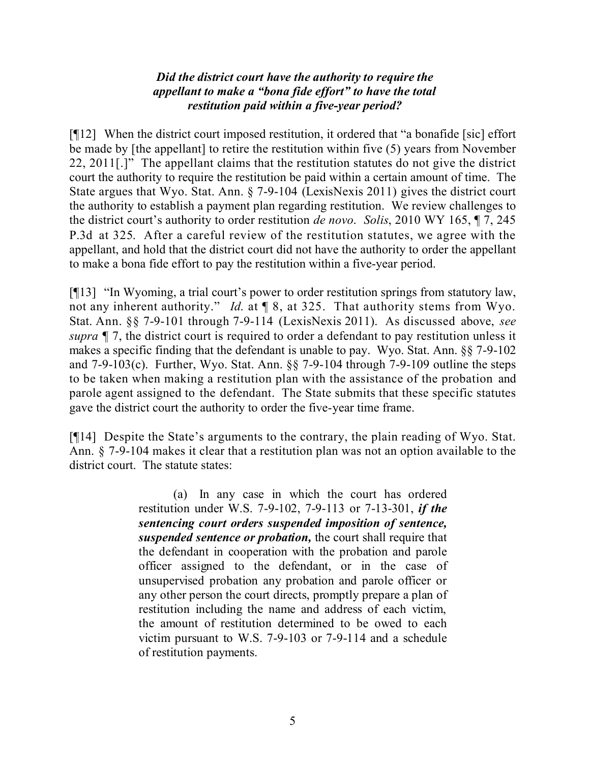## *Did the district court have the authority to require the appellant to make a "bona fide effort" to have the total restitution paid within a five-year period?*

[¶12] When the district court imposed restitution, it ordered that "a bonafide [sic] effort be made by [the appellant] to retire the restitution within five (5) years from November 22, 2011[.]" The appellant claims that the restitution statutes do not give the district court the authority to require the restitution be paid within a certain amount of time. The State argues that Wyo. Stat. Ann. § 7-9-104 (LexisNexis 2011) gives the district court the authority to establish a payment plan regarding restitution. We review challenges to the district court's authority to order restitution *de novo*. *Solis*, 2010 WY 165, ¶ 7, 245 P.3d at 325. After a careful review of the restitution statutes, we agree with the appellant, and hold that the district court did not have the authority to order the appellant to make a bona fide effort to pay the restitution within a five-year period.

[¶13] "In Wyoming, a trial court's power to order restitution springs from statutory law, not any inherent authority." *Id*. at ¶ 8, at 325. That authority stems from Wyo. Stat. Ann. §§ 7-9-101 through 7-9-114 (LexisNexis 2011). As discussed above, *see supra* ¶ 7, the district court is required to order a defendant to pay restitution unless it makes a specific finding that the defendant is unable to pay. Wyo. Stat. Ann. §§ 7-9-102 and 7-9-103(c). Further, Wyo. Stat. Ann. §§ 7-9-104 through 7-9-109 outline the steps to be taken when making a restitution plan with the assistance of the probation and parole agent assigned to the defendant. The State submits that these specific statutes gave the district court the authority to order the five-year time frame.

[¶14] Despite the State's arguments to the contrary, the plain reading of Wyo. Stat. Ann. § 7-9-104 makes it clear that a restitution plan was not an option available to the district court. The statute states:

> (a) In any case in which the court has ordered restitution under W.S. 7-9-102, 7-9-113 or 7-13-301, *if the sentencing court orders suspended imposition of sentence, suspended sentence or probation,* the court shall require that the defendant in cooperation with the probation and parole officer assigned to the defendant, or in the case of unsupervised probation any probation and parole officer or any other person the court directs, promptly prepare a plan of restitution including the name and address of each victim, the amount of restitution determined to be owed to each victim pursuant to W.S. 7-9-103 or 7-9-114 and a schedule of restitution payments.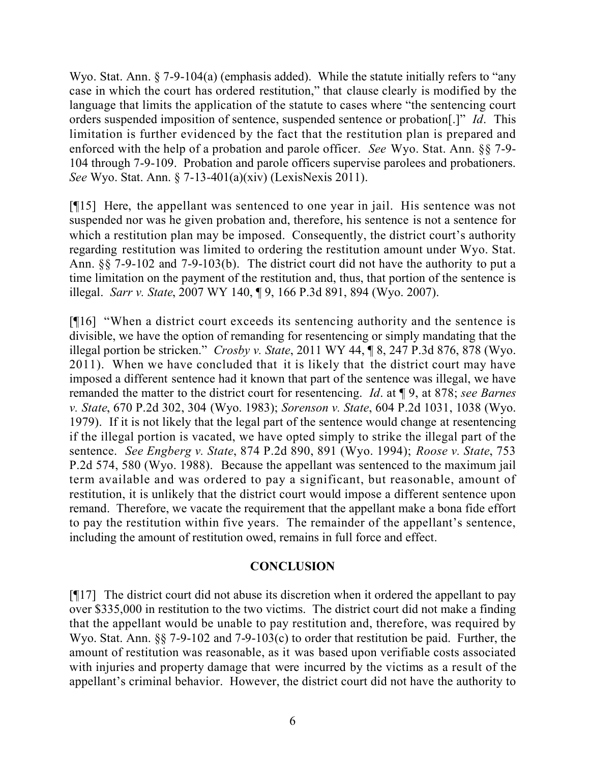Wyo. Stat. Ann. § 7-9-104(a) (emphasis added). While the statute initially refers to "any case in which the court has ordered restitution," that clause clearly is modified by the language that limits the application of the statute to cases where "the sentencing court orders suspended imposition of sentence, suspended sentence or probation[.]" *Id*. This limitation is further evidenced by the fact that the restitution plan is prepared and enforced with the help of a probation and parole officer. *See* Wyo. Stat. Ann. §§ 7-9- 104 through 7-9-109. Probation and parole officers supervise parolees and probationers. *See* Wyo. Stat. Ann. § 7-13-401(a)(xiv) (LexisNexis 2011).

[¶15] Here, the appellant was sentenced to one year in jail. His sentence was not suspended nor was he given probation and, therefore, his sentence is not a sentence for which a restitution plan may be imposed. Consequently, the district court's authority regarding restitution was limited to ordering the restitution amount under Wyo. Stat. Ann. §§ 7-9-102 and 7-9-103(b). The district court did not have the authority to put a time limitation on the payment of the restitution and, thus, that portion of the sentence is illegal. *Sarr v. State*, 2007 WY 140, ¶ 9, 166 P.3d 891, 894 (Wyo. 2007).

[¶16] "When a district court exceeds its sentencing authority and the sentence is divisible, we have the option of remanding for resentencing or simply mandating that the illegal portion be stricken." *Crosby v. State*, 2011 WY 44, ¶ 8, 247 P.3d 876, 878 (Wyo. 2011). When we have concluded that it is likely that the district court may have imposed a different sentence had it known that part of the sentence was illegal, we have remanded the matter to the district court for resentencing. *Id*. at ¶ 9, at 878; *see Barnes v. State*, 670 P.2d 302, 304 (Wyo. 1983); *Sorenson v. State*, 604 P.2d 1031, 1038 (Wyo. 1979). If it is not likely that the legal part of the sentence would change at resentencing if the illegal portion is vacated, we have opted simply to strike the illegal part of the sentence. *See Engberg v. State*, 874 P.2d 890, 891 (Wyo. 1994); *Roose v. State*, 753 P.2d 574, 580 (Wyo. 1988). Because the appellant was sentenced to the maximum jail term available and was ordered to pay a significant, but reasonable, amount of restitution, it is unlikely that the district court would impose a different sentence upon remand. Therefore, we vacate the requirement that the appellant make a bona fide effort to pay the restitution within five years. The remainder of the appellant's sentence, including the amount of restitution owed, remains in full force and effect.

#### **CONCLUSION**

[¶17] The district court did not abuse its discretion when it ordered the appellant to pay over \$335,000 in restitution to the two victims. The district court did not make a finding that the appellant would be unable to pay restitution and, therefore, was required by Wyo. Stat. Ann. §§ 7-9-102 and 7-9-103(c) to order that restitution be paid. Further, the amount of restitution was reasonable, as it was based upon verifiable costs associated with injuries and property damage that were incurred by the victims as a result of the appellant's criminal behavior. However, the district court did not have the authority to